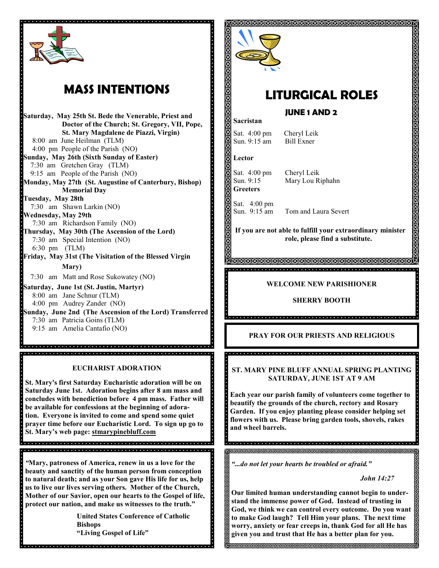

# **MASS INTENTIONS**

**Saturday, May 25th St. Bede the Venerable, Priest and Doctor of the Church; St. Gregory, VII, Pope, St. Mary Magdalene de Piazzi, Virgin)** 8:00 am June Heilman (TLM) 4:00 pm People of the Parish (NO) **Sunday, May 26th (Sixth Sunday of Easter)** 7:30 am Gretchen Gray (TLM) 9:15 am People of the Parish (NO) **Monday, May 27th (St. Augustine of Canterbury, Bishop) Memorial Day Tuesday, May 28th** 7:30 am Shawn Larkin (NO) **Wednesday, May 29th** 7:30 am Richardson Family (NO) **Thursday, May 30th (The Ascension of the Lord)** 7:30 am Special Intention (NO) 6:30 pm (TLM) **Friday, May 31st (The Visitation of the Blessed Virgin Mary)** 7:30 am Matt and Rose Sukowatey (NO) **Saturday, June 1st (St. Justin, Martyr)** 8:00 am Jane Schnur (TLM) 4:00 pm Audrey Zander (NO) **Sunday, June 2nd (The Ascension of the Lord) Transferred** 7:30 am Patricia Goins (TLM) 9:15 am Amelia Cantafio (NO)

# **EUCHARIST ADORATION**

**St. Mary's first Saturday Eucharistic adoration will be on Saturday June 1st. Adoration begins after 8 am mass and concludes with benediction before 4 pm mass. Father will be available for confessions at the beginning of adoration. Everyone is invited to come and spend some quiet prayer time before our Eucharistic Lord. To sign up go to St. Mary's web page: stmarypinebluff.com**

*"***Mary, patroness of America, renew in us a love for the beauty and sanctity of the human person from conception to natural death; and as your Son gave His life for us, help us to live our lives serving others. Mother of the Church, Mother of our Savior, open our hearts to the Gospel of life, protect our nation, and make us witnesses to the truth."**

**United States Conference of Catholic Bishops "Living Gospel of Life"** 



# **LITURGICAL ROLES**

**JUNE 1 AND 2** 

#### **Sacristan**

Sat. 4:00 pm Cheryl Leik<br>Sun. 9:15 am Bill Exner Sun. 9:15 am

**Lector**

Sat. 4:00 pm Cheryl Leik **Greeters**

i

Sun. 9:15 Mary Lou Riphahn

Sat. 4:00 pm Sun. 9:15 am Tom and Laura Severt

**If you are not able to fulfill your extraordinary minister role, please find a substitute.** 

### **WELCOME NEW PARISHIONER**

**SHERRY BOOTH**

# **PRAY FOR OUR PRIESTS AND RELIGIOUS**

**ST. MARY PINE BLUFF ANNUAL SPRING PLANTING SATURDAY, JUNE 1ST AT 9 AM**

**Each year our parish family of volunteers come together to beautify the grounds of the church, rectory and Rosary Garden. If you enjoy planting please consider helping set flowers with us. Please bring garden tools, shovels, rakes and wheel barrels.**

**RERRERENDERERERERERENDERERERERER** 

*"...do not let your hearts be troubled or afraid."*

*John 14:27*

**Our limited human understanding cannot begin to understand the immense power of God. Instead of trusting in God, we think we can control every outcome. Do you want to make God laugh? Tell Him your plans. The next time worry, anxiety or fear creeps in, thank God for all He has given you and trust that He has a better plan for you.**